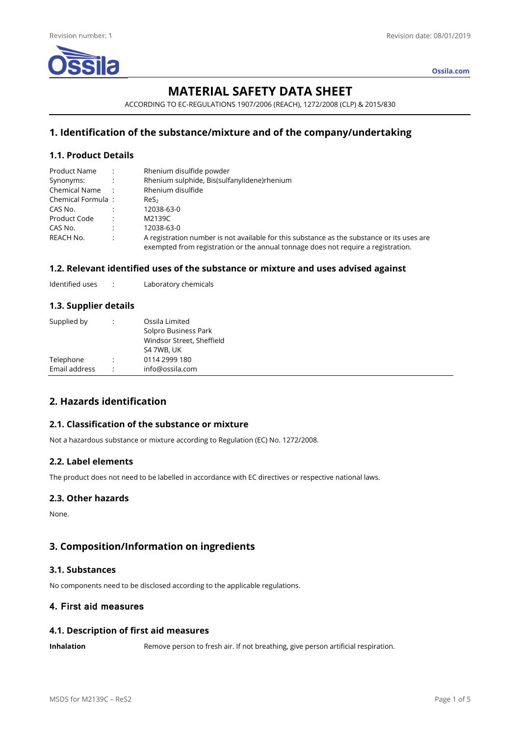

**Ossila.com**

# **MATERIAL SAFETY DATA SHEET**

ACCORDING TO EC-REGULATIONS 1907/2006 (REACH), 1272/2008 (CLP) & 2015/830

# **1. Identification of the substance/mixture and of the company/undertaking**

## **1.1. Product Details**

| Product Name      |                      | Rhenium disulfide powder                                                                                                                                                        |
|-------------------|----------------------|---------------------------------------------------------------------------------------------------------------------------------------------------------------------------------|
| Synonyms:         | $\mathbb{R}^2$       | Rhenium sulphide, Bis(sulfanylidene)rhenium                                                                                                                                     |
| Chemical Name:    |                      | Rhenium disulfide                                                                                                                                                               |
| Chemical Formula: |                      | ReS <sub>2</sub>                                                                                                                                                                |
| CAS No.           |                      | 12038-63-0                                                                                                                                                                      |
| Product Code      | $\cdot$ :            | M2139C                                                                                                                                                                          |
| CAS No.           | $\ddot{\cdot}$       | 12038-63-0                                                                                                                                                                      |
| REACH No.         | $\ddot{\phantom{a}}$ | A registration number is not available for this substance as the substance or its uses are<br>exempted from registration or the annual tonnage does not require a registration. |

### **1.2. Relevant identified uses of the substance or mixture and uses advised against**

Identified uses : Laboratory chemicals

#### **1.3. Supplier details**

| Supplied by                |   | Ossila Limited<br>Solpro Business Park<br>Windsor Street, Sheffield<br>S4 7WB, UK |
|----------------------------|---|-----------------------------------------------------------------------------------|
| Telephone<br>Email address | ٠ | 0114 2999 180<br>info@ossila.com                                                  |

# **2. Hazards identification**

## **2.1. Classification of the substance or mixture**

Not a hazardous substance or mixture according to Regulation (EC) No. 1272/2008.

#### **2.2. Label elements**

The product does not need to be labelled in accordance with EC directives or respective national laws.

#### **2.3. Other hazards**

None.

# **3. Composition/Information on ingredients**

## **3.1. Substances**

No components need to be disclosed according to the applicable regulations.

# **4. First aid measures**

#### **4.1. Description of first aid measures**

**Inhalation** Remove person to fresh air. If not breathing, give person artificial respiration.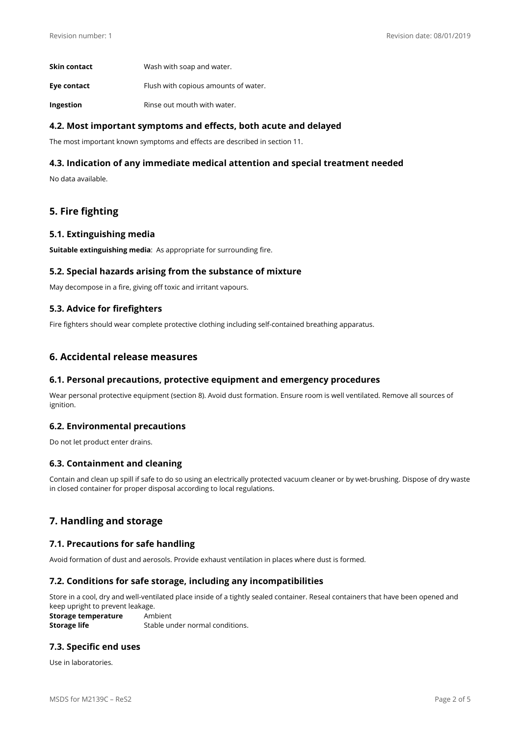| Skin contact | Wash with soap and water.            |
|--------------|--------------------------------------|
| Eye contact  | Flush with copious amounts of water. |
| Ingestion    | Rinse out mouth with water.          |

## **4.2. Most important symptoms and effects, both acute and delayed**

The most important known symptoms and effects are described in section 11.

## **4.3. Indication of any immediate medical attention and special treatment needed**

No data available.

# **5. Fire fighting**

#### **5.1. Extinguishing media**

**Suitable extinguishing media**: As appropriate for surrounding fire.

#### **5.2. Special hazards arising from the substance of mixture**

May decompose in a fire, giving off toxic and irritant vapours.

#### **5.3. Advice for firefighters**

Fire fighters should wear complete protective clothing including self-contained breathing apparatus.

# **6. Accidental release measures**

#### **6.1. Personal precautions, protective equipment and emergency procedures**

Wear personal protective equipment (section 8). Avoid dust formation. Ensure room is well ventilated. Remove all sources of ignition.

#### **6.2. Environmental precautions**

Do not let product enter drains.

#### **6.3. Containment and cleaning**

Contain and clean up spill if safe to do so using an electrically protected vacuum cleaner or by wet-brushing. Dispose of dry waste in closed container for proper disposal according to local regulations.

# **7. Handling and storage**

#### **7.1. Precautions for safe handling**

Avoid formation of dust and aerosols. Provide exhaust ventilation in places where dust is formed.

#### **7.2. Conditions for safe storage, including any incompatibilities**

Store in a cool, dry and well-ventilated place inside of a tightly sealed container. Reseal containers that have been opened and keep upright to prevent leakage.

**Storage temperature** Ambient **Storage life** Stable under normal conditions.

## **7.3. Specific end uses**

Use in laboratories.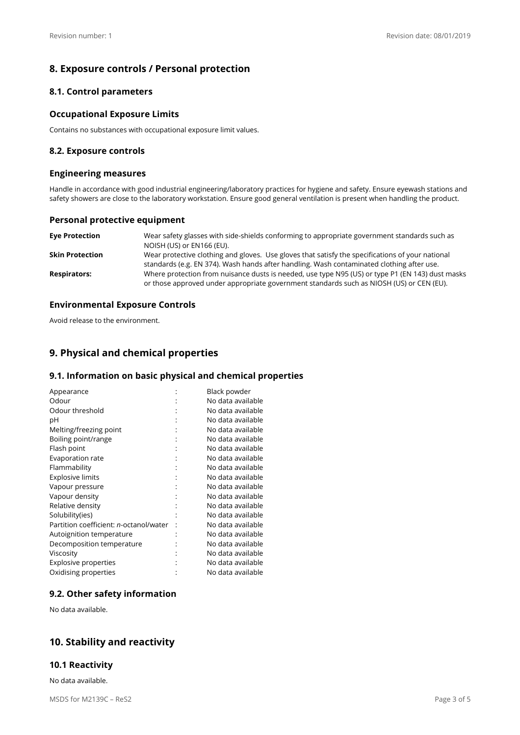# **8. Exposure controls / Personal protection**

## **8.1. Control parameters**

### **Occupational Exposure Limits**

Contains no substances with occupational exposure limit values.

#### **8.2. Exposure controls**

#### **Engineering measures**

Handle in accordance with good industrial engineering/laboratory practices for hygiene and safety. Ensure eyewash stations and safety showers are close to the laboratory workstation. Ensure good general ventilation is present when handling the product.

#### **Personal protective equipment**

| <b>Eye Protection</b>  | Wear safety glasses with side-shields conforming to appropriate government standards such as<br>NOISH (US) or EN166 (EU).                                                                     |
|------------------------|-----------------------------------------------------------------------------------------------------------------------------------------------------------------------------------------------|
| <b>Skin Protection</b> | Wear protective clothing and gloves. Use gloves that satisfy the specifications of your national<br>standards (e.g. EN 374). Wash hands after handling. Wash contaminated clothing after use. |
| <b>Respirators:</b>    | Where protection from nuisance dusts is needed, use type N95 (US) or type P1 (EN 143) dust masks<br>or those approved under appropriate government standards such as NIOSH (US) or CEN (EU).  |

### **Environmental Exposure Controls**

Avoid release to the environment.

# **9. Physical and chemical properties**

### **9.1. Information on basic physical and chemical properties**

| Appearance                                     | Black powder      |
|------------------------------------------------|-------------------|
| Odour                                          | No data available |
| Odour threshold                                | No data available |
| рH                                             | No data available |
| Melting/freezing point                         | No data available |
| Boiling point/range                            | No data available |
| Flash point                                    | No data available |
| Evaporation rate                               | No data available |
| Flammability                                   | No data available |
| <b>Explosive limits</b>                        | No data available |
| Vapour pressure                                | No data available |
| Vapour density                                 | No data available |
| Relative density                               | No data available |
| Solubility(ies)                                | No data available |
| Partition coefficient: <i>n</i> -octanol/water | No data available |
| Autoignition temperature                       | No data available |
| Decomposition temperature                      | No data available |
| Viscosity                                      | No data available |
| <b>Explosive properties</b>                    | No data available |
| Oxidising properties                           | No data available |

# **9.2. Other safety information**

No data available.

# **10. Stability and reactivity**

#### **10.1 Reactivity**

No data available.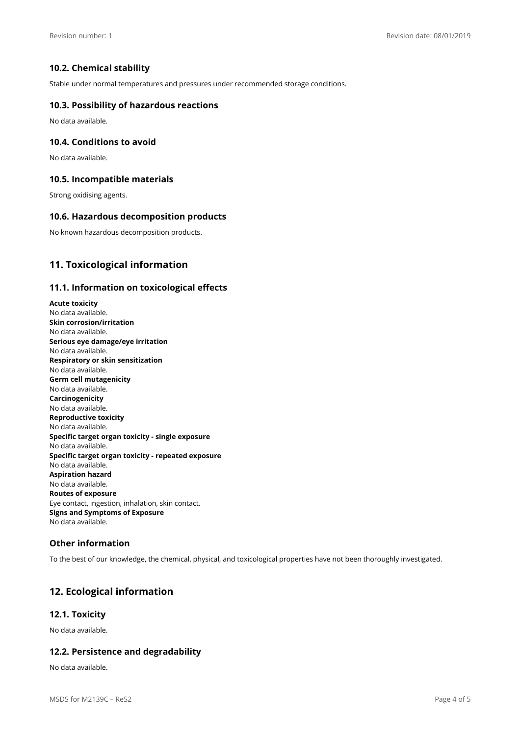## **10.2. Chemical stability**

Stable under normal temperatures and pressures under recommended storage conditions.

#### **10.3. Possibility of hazardous reactions**

No data available.

#### **10.4. Conditions to avoid**

No data available.

#### **10.5. Incompatible materials**

Strong oxidising agents.

#### **10.6. Hazardous decomposition products**

No known hazardous decomposition products.

# **11. Toxicological information**

#### **11.1. Information on toxicological effects**

**Acute toxicity**  No data available. **Skin corrosion/irritation**  No data available. **Serious eye damage/eye irritation**  No data available. **Respiratory or skin sensitization**  No data available. **Germ cell mutagenicity**  No data available. **Carcinogenicity**  No data available. **Reproductive toxicity**  No data available. **Specific target organ toxicity - single exposure**  No data available. **Specific target organ toxicity - repeated exposure**  No data available. **Aspiration hazard**  No data available. **Routes of exposure**  Eye contact, ingestion, inhalation, skin contact. **Signs and Symptoms of Exposure**  No data available.

### **Other information**

To the best of our knowledge, the chemical, physical, and toxicological properties have not been thoroughly investigated.

# **12. Ecological information**

### **12.1. Toxicity**

No data available.

#### **12.2. Persistence and degradability**

No data available.